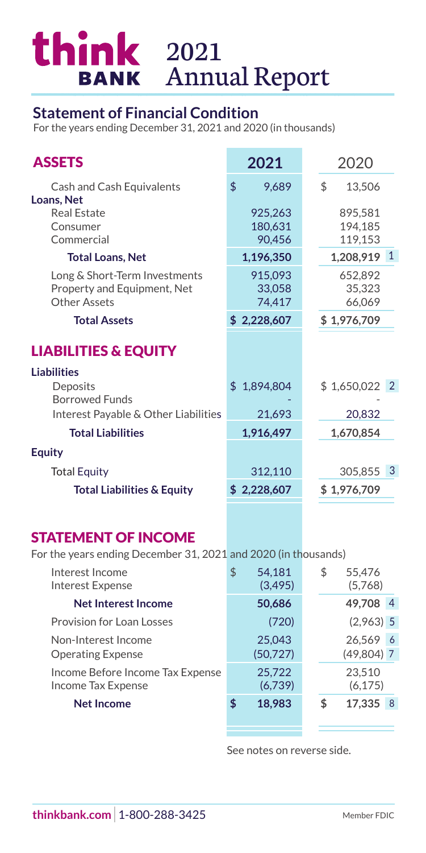## 2021 Annual Report

## **Statement of Financial Condition**

For the years ending December 31, 2021 and 2020 (in thousands)

| <b>ASSETS</b>                                                                                | 2021                         | 2020                          |
|----------------------------------------------------------------------------------------------|------------------------------|-------------------------------|
| Cash and Cash Equivalents                                                                    | \$<br>9,689                  | \$<br>13,506                  |
| Loans, Net<br><b>Real Estate</b><br>Consumer<br>Commercial                                   | 925,263<br>180,631<br>90,456 | 895,581<br>194,185<br>119,153 |
| <b>Total Loans, Net</b>                                                                      | 1,196,350                    | $\mathbf{1}$<br>1,208,919     |
| Long & Short-Term Investments<br>Property and Equipment, Net<br><b>Other Assets</b>          | 915,093<br>33,058<br>74,417  | 652,892<br>35,323<br>66,069   |
| <b>Total Assets</b>                                                                          | \$2,228,607                  | \$1,976,709                   |
| <b>LIABILITIES &amp; EQUITY</b>                                                              |                              |                               |
| <b>Liabilities</b><br>Deposits<br><b>Borrowed Funds</b>                                      | \$1,894,804                  | \$1,650,022<br>$\overline{2}$ |
| Interest Payable & Other Liabilities                                                         | 21,693                       | 20,832                        |
| <b>Total Liabilities</b>                                                                     | 1,916,497                    | 1,670,854                     |
| <b>Equity</b>                                                                                |                              |                               |
| <b>Total Equity</b>                                                                          | 312,110                      | 3<br>305,855                  |
| <b>Total Liabilities &amp; Equity</b>                                                        | \$2,228,607                  | \$1,976,709                   |
|                                                                                              |                              |                               |
| <b>STATEMENT OF INCOME</b><br>For the years ending December 31, 2021 and 2020 (in thousands) |                              |                               |
| Interest Income<br><b>Interest Expense</b>                                                   | \$<br>54,181<br>(3, 495)     | \$<br>55,476<br>(5,768)       |
| <b>Net Interest Income</b>                                                                   | 50,686                       | 49,708<br>4                   |
| Provision for Loan Losses                                                                    | (720)                        | $(2,963)$ 5                   |
| Non-Interest Income<br><b>Operating Expense</b>                                              | 25,043<br>(50, 727)          | 26,569<br>6<br>$(49,804)$ 7   |

Income Before Income Tax Expense 25,722 23,510 Income Tax Expense (6,739) (6,175)

**Net Income**  $\qquad$  **\$ 18,983** \$

See notes on reverse side.

17,335 8